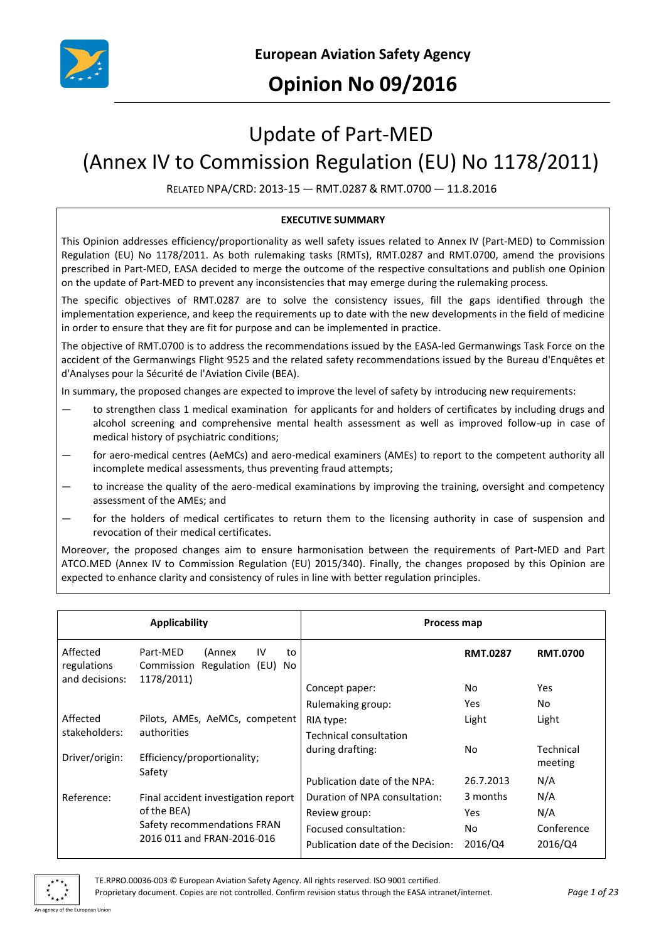

## **Opinion No 09/2016**

# Update of Part-MED

# (Annex IV to Commission Regulation (EU) No 1178/2011)

RELATED NPA/CRD: 2013-15 — RMT.0287 & RMT.0700 — 11.8.2016

#### **EXECUTIVE SUMMARY**

This Opinion addresses efficiency/proportionality as well safety issues related to Annex IV (Part-MED) to Commission Regulation (EU) No 1178/2011. As both rulemaking tasks (RMTs), RMT.0287 and RMT.0700, amend the provisions prescribed in Part-MED, EASA decided to merge the outcome of the respective consultations and publish one Opinion on the update of Part-MED to prevent any inconsistencies that may emerge during the rulemaking process.

The specific objectives of RMT.0287 are to solve the consistency issues, fill the gaps identified through the implementation experience, and keep the requirements up to date with the new developments in the field of medicine in order to ensure that they are fit for purpose and can be implemented in practice.

The objective of RMT.0700 is to address the recommendations issued by the EASA-led Germanwings Task Force on the accident of the Germanwings Flight 9525 and the related safety recommendations issued by the Bureau d'Enquêtes et d'Analyses pour la Sécurité de l'Aviation Civile (BEA).

In summary, the proposed changes are expected to improve the level of safety by introducing new requirements:

- to strengthen class 1 medical examination for applicants for and holders of certificates by including drugs and alcohol screening and comprehensive mental health assessment as well as improved follow-up in case of medical history of psychiatric conditions;
- for aero-medical centres (AeMCs) and aero-medical examiners (AMEs) to report to the competent authority all incomplete medical assessments, thus preventing fraud attempts;
- to increase the quality of the aero-medical examinations by improving the training, oversight and competency assessment of the AMEs; and
- for the holders of medical certificates to return them to the licensing authority in case of suspension and revocation of their medical certificates.

Moreover, the proposed changes aim to ensure harmonisation between the requirements of Part-MED and Part ATCO.MED (Annex IV to Commission Regulation (EU) 2015/340). Finally, the changes proposed by this Opinion are expected to enhance clarity and consistency of rules in line with better regulation principles.

| <b>Applicability</b>      |                                                                                                                 | Process map                       |                 |                      |
|---------------------------|-----------------------------------------------------------------------------------------------------------------|-----------------------------------|-----------------|----------------------|
| Affected<br>regulations   | Part-MED<br>IV<br>(Annex<br>to<br>Regulation (EU)<br>Commission<br>No.                                          |                                   | <b>RMT.0287</b> | <b>RMT.0700</b>      |
| and decisions:            | 1178/2011)                                                                                                      | Concept paper:                    | No.             | Yes                  |
|                           |                                                                                                                 | Rulemaking group:                 | <b>Yes</b>      | No.                  |
| Affected<br>stakeholders: | Pilots, AMEs, AeMCs, competent<br>authorities                                                                   | RIA type:                         | Light           | Light                |
|                           |                                                                                                                 | Technical consultation            |                 |                      |
| Driver/origin:            | Efficiency/proportionality;<br>Safety                                                                           | during drafting:                  | No.             | Technical<br>meeting |
|                           |                                                                                                                 | Publication date of the NPA:      | 26.7.2013       | N/A                  |
| Reference:                | Final accident investigation report<br>of the BEA)<br>Safety recommendations FRAN<br>2016 011 and FRAN-2016-016 | Duration of NPA consultation:     | 3 months        | N/A                  |
|                           |                                                                                                                 | Review group:                     | <b>Yes</b>      | N/A                  |
|                           |                                                                                                                 | Focused consultation:             | No.             | Conference           |
|                           |                                                                                                                 | Publication date of the Decision: | 2016/Q4         | 2016/Q4              |

TE.RPRO.00036-003 © European Aviation Safety Agency. All rights reserved. ISO 9001 certified.

Proprietary document. Copies are not controlled. Confirm revision status through the EASA intranet/internet. *Page 1 of 23* An agency of the European Union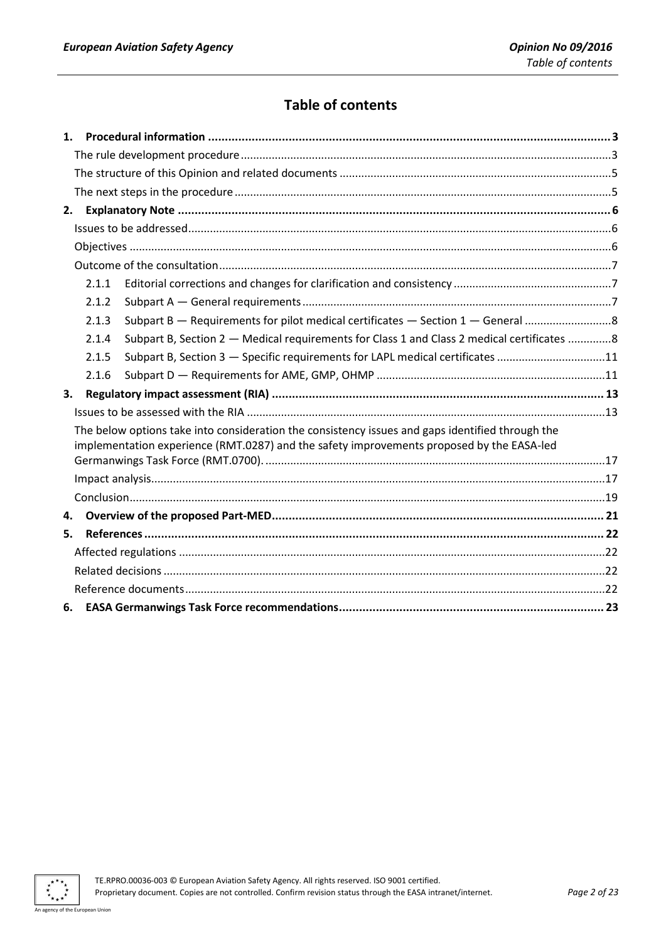## **Table of contents**

|                                                                                                                                                                                               | 2.1.1 |                                                                                            |  |  |  |
|-----------------------------------------------------------------------------------------------------------------------------------------------------------------------------------------------|-------|--------------------------------------------------------------------------------------------|--|--|--|
|                                                                                                                                                                                               | 2.1.2 |                                                                                            |  |  |  |
|                                                                                                                                                                                               | 2.1.3 | Subpart B - Requirements for pilot medical certificates - Section 1 - General 8            |  |  |  |
|                                                                                                                                                                                               | 2.1.4 | Subpart B, Section 2 - Medical requirements for Class 1 and Class 2 medical certificates 8 |  |  |  |
|                                                                                                                                                                                               | 2.1.5 | Subpart B, Section 3 - Specific requirements for LAPL medical certificates 11              |  |  |  |
|                                                                                                                                                                                               | 2.1.6 |                                                                                            |  |  |  |
| 3.                                                                                                                                                                                            |       |                                                                                            |  |  |  |
|                                                                                                                                                                                               |       |                                                                                            |  |  |  |
| The below options take into consideration the consistency issues and gaps identified through the<br>implementation experience (RMT.0287) and the safety improvements proposed by the EASA-led |       |                                                                                            |  |  |  |
|                                                                                                                                                                                               |       |                                                                                            |  |  |  |
|                                                                                                                                                                                               |       |                                                                                            |  |  |  |
|                                                                                                                                                                                               |       |                                                                                            |  |  |  |
| 4.                                                                                                                                                                                            |       |                                                                                            |  |  |  |
| 5.                                                                                                                                                                                            |       |                                                                                            |  |  |  |
|                                                                                                                                                                                               |       |                                                                                            |  |  |  |
|                                                                                                                                                                                               |       |                                                                                            |  |  |  |
|                                                                                                                                                                                               |       |                                                                                            |  |  |  |
| 6.                                                                                                                                                                                            |       |                                                                                            |  |  |  |

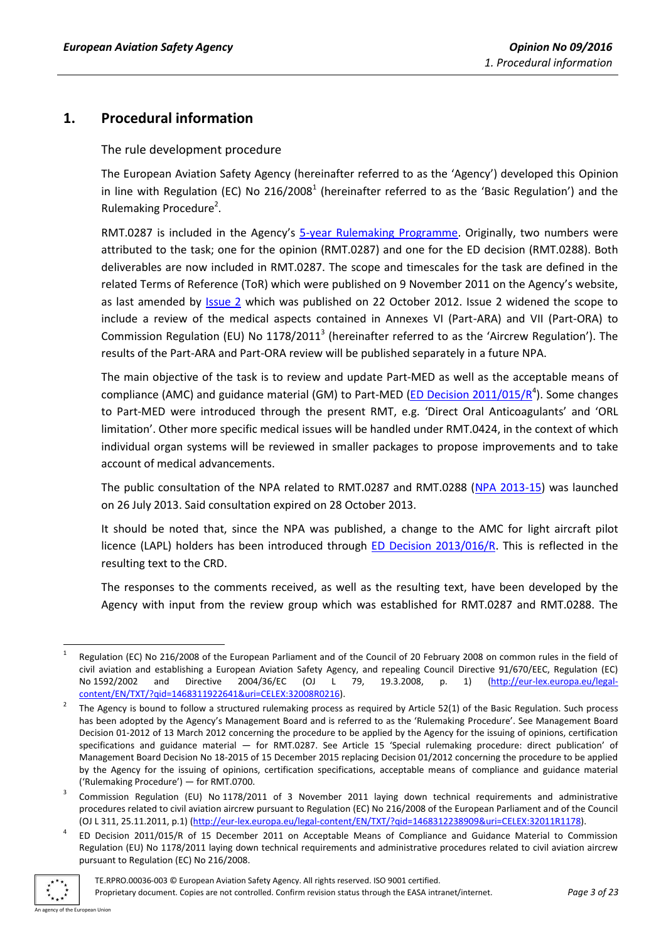## <span id="page-2-1"></span><span id="page-2-0"></span>**1. Procedural information**

The rule development procedure

The European Aviation Safety Agency (hereinafter referred to as the 'Agency') developed this Opinion in line with Regulation (EC) No 216/2008<sup>1</sup> (hereinafter referred to as the 'Basic Regulation') and the Rulemaking Procedure<sup>2</sup>.

RMT.0287 is included in the Agency's [5-year Rulemaking Programme.](http://easa.europa.eu/document-library/rulemaking-programmes/2016-2020-rulemaking-programme) Originally, two numbers were attributed to the task; one for the opinion (RMT.0287) and one for the ED decision (RMT.0288). Both deliverables are now included in RMT.0287. The scope and timescales for the task are defined in the related Terms of Reference (ToR) which were published on 9 November 2011 on the Agency's website, as last amended by [Issue 2](http://easa.europa.eu/system/files/dfu/ToR%20RMT.0287%20and%20RMT.0288%20%28MED.001%29%20Issue%202.pdf) which was published on 22 October 2012. Issue 2 widened the scope to include a review of the medical aspects contained in Annexes VI (Part-ARA) and VII (Part-ORA) to Commission Regulation (EU) No  $1178/2011^3$  (hereinafter referred to as the 'Aircrew Regulation'). The results of the Part-ARA and Part-ORA review will be published separately in a future NPA.

The main objective of the task is to review and update Part-MED as well as the acceptable means of compliance (AMC) and guidance material (GM) to Part-MED [\(ED Decision 2011/015/R](http://easa.europa.eu/document-library/agency-decisions/ed-decision-2011015r)<sup>4</sup>). Some changes to Part-MED were introduced through the present RMT, e.g. 'Direct Oral Anticoagulants' and 'ORL limitation'. Other more specific medical issues will be handled under RMT.0424, in the context of which individual organ systems will be reviewed in smaller packages to propose improvements and to take account of medical advancements.

The public consultation of the NPA related to RMT.0287 and RMT.0288 [\(NPA 2013-15\)](http://easa.europa.eu/system/files/dfu/EASA-NPA-2013-15.pdf) was launched on 26 July 2013. Said consultation expired on 28 October 2013.

It should be noted that, since the NPA was published, a change to the AMC for light aircraft pilot licence (LAPL) holders has been introduced through [ED Decision 2013/016/R.](http://easa.europa.eu/document-library/agency-decisions/ed-decision-2013016r) This is reflected in the resulting text to the CRD.

The responses to the comments received, as well as the resulting text, have been developed by the Agency with input from the review group which was established for RMT.0287 and RMT.0288. The

<sup>4</sup> [ED Decision 2011/015/R](http://easa.europa.eu/document-library/agency-decisions/ed-decision-2011015r) of 15 December 2011 on Acceptable Means of Compliance and Guidance Material to Commission Regulation (EU) No 1178/2011 laying down technical requirements and administrative procedures related to civil aviation aircrew pursuant to Regulation (EC) No 216/2008.



<sup>1</sup> 1 Regulation (EC) No 216/2008 of the European Parliament and of the Council of 20 February 2008 on common rules in the field of civil aviation and establishing a European Aviation Safety Agency, and repealing Council Directive 91/670/EEC, Regulation (EC) No 1592/2002 and Directive 2004/36/EC (OJ L 79, 19.3.2008, p. 1) [\(http://eur-lex.europa.eu/legal](http://eur-lex.europa.eu/legal-content/EN/TXT/?qid=1468311922641&uri=CELEX:32008R0216)[content/EN/TXT/?qid=1468311922641&uri=CELEX:32008R0216\)](http://eur-lex.europa.eu/legal-content/EN/TXT/?qid=1468311922641&uri=CELEX:32008R0216).

<sup>2</sup> The Agency is bound to follow a structured rulemaking process as required by Article 52(1) of the Basic Regulation. Such process has been adopted by the Agency's Management Board and is referred to as the 'Rulemaking Procedure'. See Management Board Decision 01-2012 of 13 March 2012 concerning the procedure to be applied by the Agency for the issuing of opinions, certification specifications and guidance material — for RMT.0287. See Article 15 'Special rulemaking procedure: direct publication' of Management Board Decision No 18-2015 of 15 December 2015 replacing Decision 01/2012 concerning the procedure to be applied by the Agency for the issuing of opinions, certification specifications, acceptable means of compliance and guidance material ('Rulemaking Procedure') — for RMT.0700.

<sup>3</sup> Commission Regulation (EU) No 1178/2011 of 3 November 2011 laying down technical requirements and administrative procedures related to civil aviation aircrew pursuant to Regulation (EC) No 216/2008 of the European Parliament and of the Council (OJ L 311, 25.11.2011, p.1) [\(http://eur-lex.europa.eu/legal-content/EN/TXT/?qid=1468312238909&uri=CELEX:32011R1178\)](http://eur-lex.europa.eu/legal-content/EN/TXT/?qid=1468312238909&uri=CELEX:32011R1178).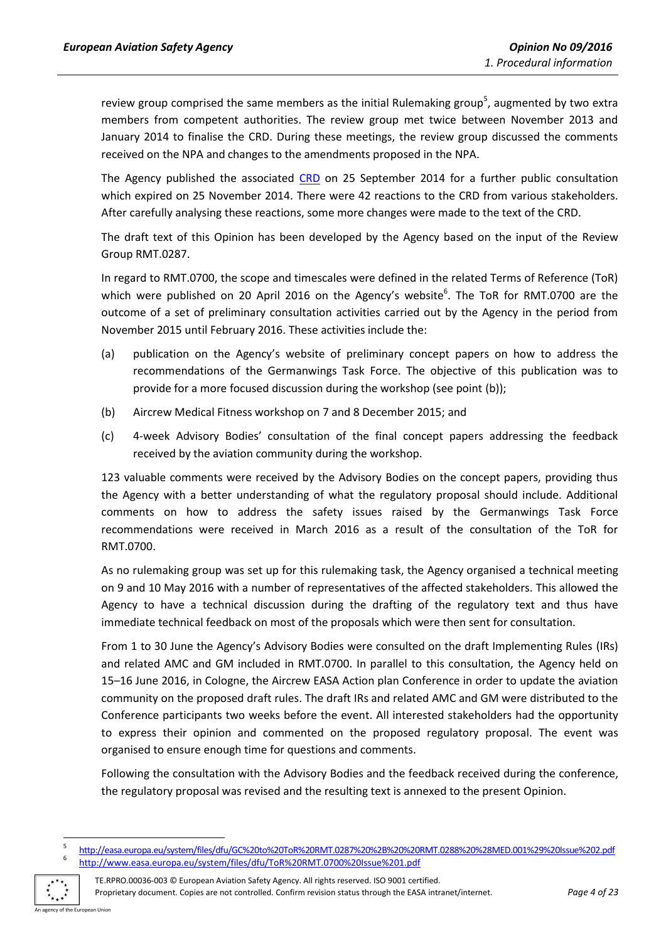review group comprised the same members as the initial Rulemaking group<sup>5</sup>, augmented by two extra members from competent authorities. The review group met twice between November 2013 and January 2014 to finalise the CRD. During these meetings, the review group discussed the comments received on the NPA and changes to the amendments proposed in the NPA.

The Agency published the associated [CRD](http://easa.europa.eu/system/files/dfu/CRD%202013-15.pdf) on 25 September 2014 for a further public consultation which expired on 25 November 2014. There were 42 reactions to the CRD from various stakeholders. After carefully analysing these reactions, some more changes were made to the text of the CRD.

The draft text of this Opinion has been developed by the Agency based on the input of the Review Group RMT.0287.

In regard to RMT.0700, the scope and timescales were defined in the related Terms of Reference (ToR) which were published on 20 April 2016 on the Agency's website<sup>6</sup>. The ToR for RMT.0700 are the outcome of a set of preliminary consultation activities carried out by the Agency in the period from November 2015 until February 2016. These activities include the:

- (a) publication on the Agency's website of preliminary concept papers on how to address the recommendations of the Germanwings Task Force. The objective of this publication was to provide for a more focused discussion during the workshop (see point (b));
- (b) Aircrew Medical Fitness workshop on 7 and 8 December 2015; and
- (c) 4-week Advisory Bodies' consultation of the final concept papers addressing the feedback received by the aviation community during the workshop.

123 valuable comments were received by the Advisory Bodies on the concept papers, providing thus the Agency with a better understanding of what the regulatory proposal should include. Additional comments on how to address the safety issues raised by the Germanwings Task Force recommendations were received in March 2016 as a result of the consultation of the ToR for RMT.0700.

As no rulemaking group was set up for this rulemaking task, the Agency organised a technical meeting on 9 and 10 May 2016 with a number of representatives of the affected stakeholders. This allowed the Agency to have a technical discussion during the drafting of the regulatory text and thus have immediate technical feedback on most of the proposals which were then sent for consultation.

From 1 to 30 June the Agency's Advisory Bodies were consulted on the draft Implementing Rules (IRs) and related AMC and GM included in RMT.0700. In parallel to this consultation, the Agency held on 15–16 June 2016, in Cologne, the Aircrew EASA Action plan Conference in order to update the aviation community on the proposed draft rules. The draft IRs and related AMC and GM were distributed to the Conference participants two weeks before the event. All interested stakeholders had the opportunity to express their opinion and commented on the proposed regulatory proposal. The event was organised to ensure enough time for questions and comments.

Following the consultation with the Advisory Bodies and the feedback received during the conference, the regulatory proposal was revised and the resulting text is annexed to the present Opinion.

1

<sup>5</sup> <http://easa.europa.eu/system/files/dfu/GC%20to%20ToR%20RMT.0287%20%2B%20%20RMT.0288%20%28MED.001%29%20Issue%202.pdf> 6 <http://www.easa.europa.eu/system/files/dfu/ToR%20RMT.0700%20Issue%201.pdf>

**CON AN AN AN AN AN ADAPTER**<br>Cy of the European Union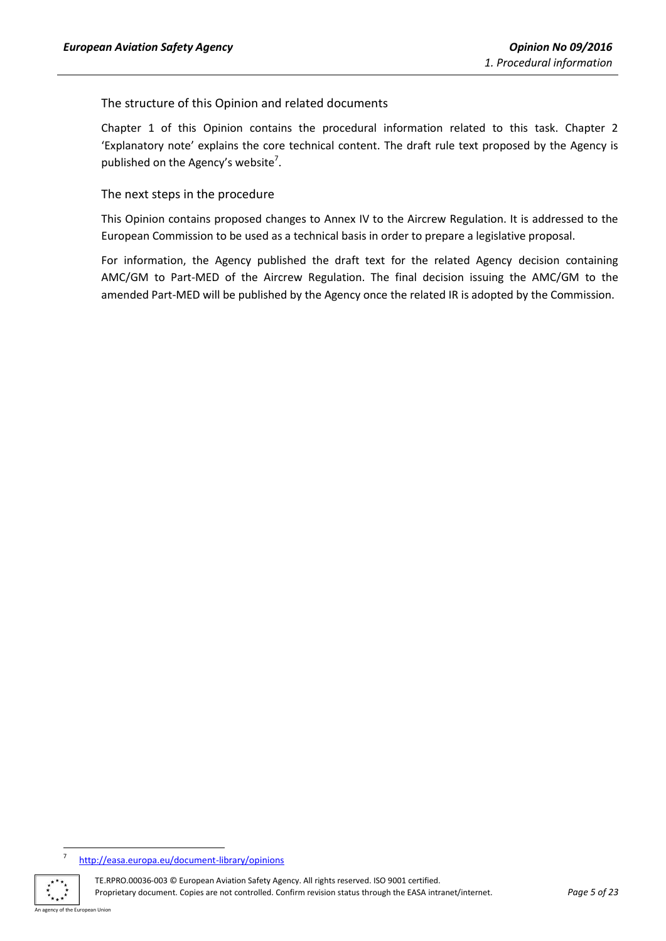<span id="page-4-0"></span>The structure of this Opinion and related documents

Chapter 1 of this Opinion contains the procedural information related to this task. Chapter 2 'Explanatory note' explains the core technical content. The draft rule text proposed by the Agency is published on the Agency's website<sup>7</sup>.

<span id="page-4-1"></span>The next steps in the procedure

This Opinion contains proposed changes to Annex IV to the Aircrew Regulation. It is addressed to the European Commission to be used as a technical basis in order to prepare a legislative proposal.

For information, the Agency published the draft text for the related Agency decision containing AMC/GM to Part-MED of the Aircrew Regulation. The final decision issuing the AMC/GM to the amended Part-MED will be published by the Agency once the related IR is adopted by the Commission.

<sup>–&</sup>lt;br>7 <http://easa.europa.eu/document-library/opinions>



TE.RPRO.00036-003 © European Aviation Safety Agency. All rights reserved. ISO 9001 certified. Proprietary document. Copies are not controlled. Confirm revision status through the EASA intranet/internet. *Page 5 of 23*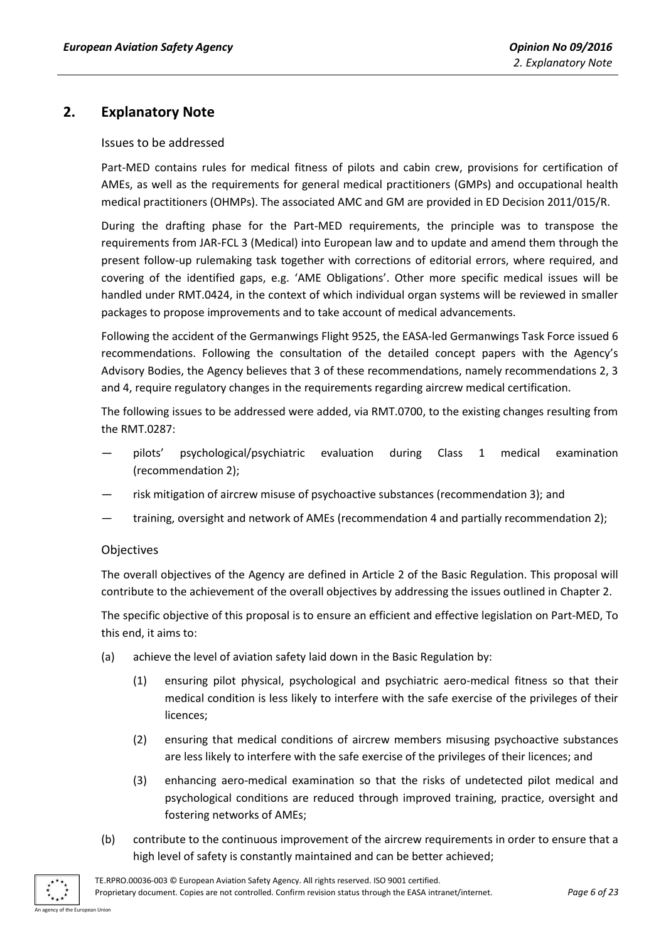## <span id="page-5-1"></span><span id="page-5-0"></span>**2. Explanatory Note**

#### Issues to be addressed

Part-MED contains rules for medical fitness of pilots and cabin crew, provisions for certification of AMEs, as well as the requirements for general medical practitioners (GMPs) and occupational health medical practitioners (OHMPs). The associated AMC and GM are provided in ED Decision 2011/015/R.

During the drafting phase for the Part-MED requirements, the principle was to transpose the requirements from JAR-FCL 3 (Medical) into European law and to update and amend them through the present follow-up rulemaking task together with corrections of editorial errors, where required, and covering of the identified gaps, e.g. 'AME Obligations'. Other more specific medical issues will be handled under RMT.0424, in the context of which individual organ systems will be reviewed in smaller packages to propose improvements and to take account of medical advancements.

Following the accident of the Germanwings Flight 9525, the EASA-led Germanwings Task Force issued 6 recommendations. Following the consultation of the detailed concept papers with the Agency's Advisory Bodies, the Agency believes that 3 of these recommendations, namely recommendations 2, 3 and 4, require regulatory changes in the requirements regarding aircrew medical certification.

The following issues to be addressed were added, via RMT.0700, to the existing changes resulting from the RMT.0287:

- pilots' psychological/psychiatric evaluation during Class 1 medical examination (recommendation 2);
- risk mitigation of aircrew misuse of psychoactive substances (recommendation 3); and
- training, oversight and network of AMEs (recommendation 4 and partially recommendation 2);

#### <span id="page-5-2"></span>Objectives

The overall objectives of the Agency are defined in Article 2 of the Basic Regulation. This proposal will contribute to the achievement of the overall objectives by addressing the issues outlined in Chapter 2.

The specific objective of this proposal is to ensure an efficient and effective legislation on Part-MED, To this end, it aims to:

- (a) achieve the level of aviation safety laid down in the Basic Regulation by:
	- (1) ensuring pilot physical, psychological and psychiatric aero-medical fitness so that their medical condition is less likely to interfere with the safe exercise of the privileges of their licences;
	- (2) ensuring that medical conditions of aircrew members misusing psychoactive substances are less likely to interfere with the safe exercise of the privileges of their licences; and
	- (3) enhancing aero-medical examination so that the risks of undetected pilot medical and psychological conditions are reduced through improved training, practice, oversight and fostering networks of AMEs;
- (b) contribute to the continuous improvement of the aircrew requirements in order to ensure that a high level of safety is constantly maintained and can be better achieved;

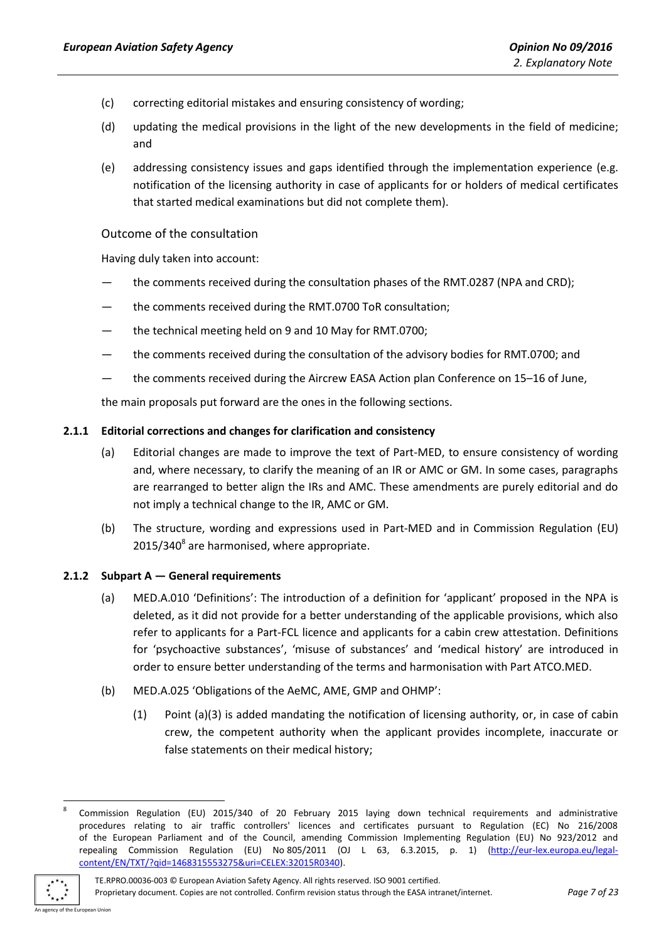- (c) correcting editorial mistakes and ensuring consistency of wording;
- (d) updating the medical provisions in the light of the new developments in the field of medicine; and
- (e) addressing consistency issues and gaps identified through the implementation experience (e.g. notification of the licensing authority in case of applicants for or holders of medical certificates that started medical examinations but did not complete them).

#### <span id="page-6-0"></span>Outcome of the consultation

Having duly taken into account:

- the comments received during the consultation phases of the RMT.0287 (NPA and CRD);
- the comments received during the RMT.0700 ToR consultation;
- the technical meeting held on 9 and 10 May for RMT.0700;
- the comments received during the consultation of the advisory bodies for RMT.0700; and
- the comments received during the Aircrew EASA Action plan Conference on 15–16 of June,

the main proposals put forward are the ones in the following sections.

#### <span id="page-6-1"></span>**2.1.1 Editorial corrections and changes for clarification and consistency**

- (a) Editorial changes are made to improve the text of Part-MED, to ensure consistency of wording and, where necessary, to clarify the meaning of an IR or AMC or GM. In some cases, paragraphs are rearranged to better align the IRs and AMC. These amendments are purely editorial and do not imply a technical change to the IR, AMC or GM.
- (b) The structure, wording and expressions used in Part-MED and in Commission Regulation (EU) 2015/340<sup>8</sup> are harmonised, where appropriate.

#### <span id="page-6-2"></span>**2.1.2 Subpart A — General requirements**

- (a) MED.A.010 'Definitions': The introduction of a definition for 'applicant' proposed in the NPA is deleted, as it did not provide for a better understanding of the applicable provisions, which also refer to applicants for a Part-FCL licence and applicants for a cabin crew attestation. Definitions for 'psychoactive substances', 'misuse of substances' and 'medical history' are introduced in order to ensure better understanding of the terms and harmonisation with Part ATCO.MED.
- (b) MED.A.025 'Obligations of the AeMC, AME, GMP and OHMP':
	- (1) Point (a)(3) is added mandating the notification of licensing authority, or, in case of cabin crew, the competent authority when the applicant provides incomplete, inaccurate or false statements on their medical history;

**<sup>.</sup>** 8 Commission Regulation (EU) 2015/340 of 20 February 2015 laying down technical requirements and administrative procedures relating to air traffic controllers' licences and certificates pursuant to Regulation (EC) No 216/2008 of the European Parliament and of the Council, amending Commission Implementing Regulation (EU) No 923/2012 and repealing Commission Regulation (EU) No 805/2011 (OJ L 63, 6.3.2015, p. 1) [\(http://eur-lex.europa.eu/legal](http://eur-lex.europa.eu/legal-content/EN/TXT/?qid=1468315553275&uri=CELEX:32015R0340)[content/EN/TXT/?qid=1468315553275&uri=CELEX:32015R0340\)](http://eur-lex.europa.eu/legal-content/EN/TXT/?qid=1468315553275&uri=CELEX:32015R0340).



TE.RPRO.00036-003 © European Aviation Safety Agency. All rights reserved. ISO 9001 certified. Proprietary document. Copies are not controlled. Confirm revision status through the EASA intranet/internet. *Page 7 of 23*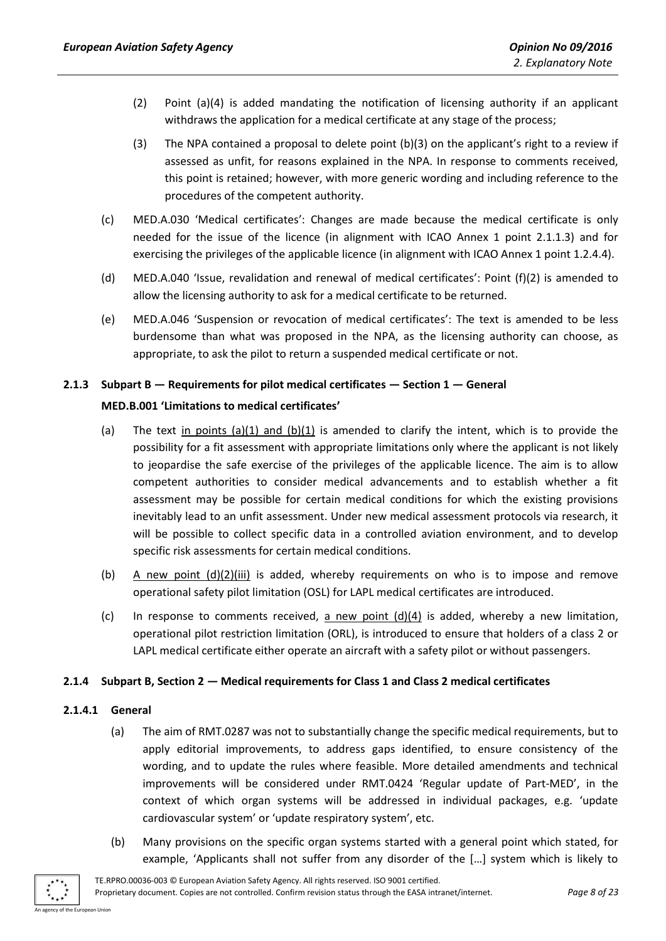- (2) Point (a)(4) is added mandating the notification of licensing authority if an applicant withdraws the application for a medical certificate at any stage of the process;
- (3) The NPA contained a proposal to delete point (b)(3) on the applicant's right to a review if assessed as unfit, for reasons explained in the NPA. In response to comments received, this point is retained; however, with more generic wording and including reference to the procedures of the competent authority.
- (c) MED.A.030 'Medical certificates': Changes are made because the medical certificate is only needed for the issue of the licence (in alignment with ICAO Annex 1 point 2.1.1.3) and for exercising the privileges of the applicable licence (in alignment with ICAO Annex 1 point 1.2.4.4).
- (d) MED.A.040 'Issue, revalidation and renewal of medical certificates': Point (f)(2) is amended to allow the licensing authority to ask for a medical certificate to be returned.
- (e) MED.A.046 'Suspension or revocation of medical certificates': The text is amended to be less burdensome than what was proposed in the NPA, as the licensing authority can choose, as appropriate, to ask the pilot to return a suspended medical certificate or not.

#### <span id="page-7-0"></span>**2.1.3 Subpart B — Requirements for pilot medical certificates — Section 1 — General**

#### **MED.B.001 'Limitations to medical certificates'**

- (a) The text in points (a)(1) and (b)(1) is amended to clarify the intent, which is to provide the possibility for a fit assessment with appropriate limitations only where the applicant is not likely to jeopardise the safe exercise of the privileges of the applicable licence. The aim is to allow competent authorities to consider medical advancements and to establish whether a fit assessment may be possible for certain medical conditions for which the existing provisions inevitably lead to an unfit assessment. Under new medical assessment protocols via research, it will be possible to collect specific data in a controlled aviation environment, and to develop specific risk assessments for certain medical conditions.
- (b) A new point (d)(2)(iii) is added, whereby requirements on who is to impose and remove operational safety pilot limitation (OSL) for LAPL medical certificates are introduced.
- (c) In response to comments received, a new point (d)(4) is added, whereby a new limitation, operational pilot restriction limitation (ORL), is introduced to ensure that holders of a class 2 or LAPL medical certificate either operate an aircraft with a safety pilot or without passengers.

#### <span id="page-7-1"></span>**2.1.4 Subpart B, Section 2 — Medical requirements for Class 1 and Class 2 medical certificates**

#### **2.1.4.1 General**

- (a) The aim of RMT.0287 was not to substantially change the specific medical requirements, but to apply editorial improvements, to address gaps identified, to ensure consistency of the wording, and to update the rules where feasible. More detailed amendments and technical improvements will be considered under RMT.0424 'Regular update of Part-MED', in the context of which organ systems will be addressed in individual packages, e.g. 'update cardiovascular system' or 'update respiratory system', etc.
- (b) Many provisions on the specific organ systems started with a general point which stated, for example, 'Applicants shall not suffer from any disorder of the […] system which is likely to

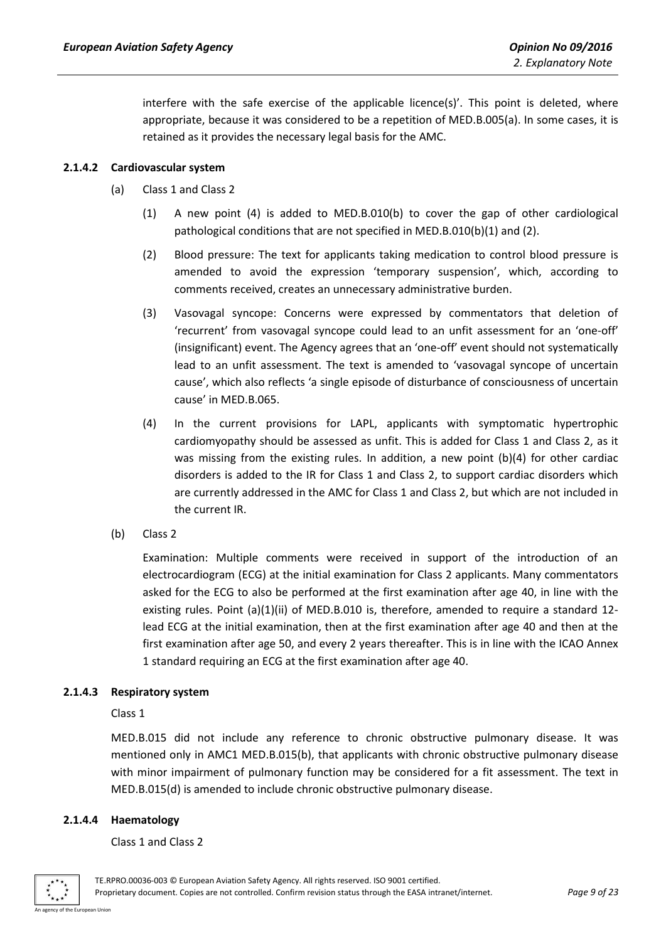interfere with the safe exercise of the applicable licence(s)'. This point is deleted, where appropriate, because it was considered to be a repetition of MED.B.005(a). In some cases, it is retained as it provides the necessary legal basis for the AMC.

#### **2.1.4.2 Cardiovascular system**

- (a) Class 1 and Class 2
	- (1) A new point (4) is added to MED.B.010(b) to cover the gap of other cardiological pathological conditions that are not specified in MED.B.010(b)(1) and (2).
	- (2) Blood pressure: The text for applicants taking medication to control blood pressure is amended to avoid the expression 'temporary suspension', which, according to comments received, creates an unnecessary administrative burden.
	- (3) Vasovagal syncope: Concerns were expressed by commentators that deletion of 'recurrent' from vasovagal syncope could lead to an unfit assessment for an 'one-off' (insignificant) event. The Agency agrees that an 'one-off' event should not systematically lead to an unfit assessment. The text is amended to 'vasovagal syncope of uncertain cause', which also reflects 'a single episode of disturbance of consciousness of uncertain cause' in MED.B.065.
	- (4) In the current provisions for LAPL, applicants with symptomatic hypertrophic cardiomyopathy should be assessed as unfit. This is added for Class 1 and Class 2, as it was missing from the existing rules. In addition, a new point (b)(4) for other cardiac disorders is added to the IR for Class 1 and Class 2, to support cardiac disorders which are currently addressed in the AMC for Class 1 and Class 2, but which are not included in the current IR.
- (b) Class 2

Examination: Multiple comments were received in support of the introduction of an electrocardiogram (ECG) at the initial examination for Class 2 applicants. Many commentators asked for the ECG to also be performed at the first examination after age 40, in line with the existing rules. Point (a)(1)(ii) of MED.B.010 is, therefore, amended to require a standard 12lead ECG at the initial examination, then at the first examination after age 40 and then at the first examination after age 50, and every 2 years thereafter. This is in line with the ICAO Annex 1 standard requiring an ECG at the first examination after age 40.

#### **2.1.4.3 Respiratory system**

#### Class 1

MED.B.015 did not include any reference to chronic obstructive pulmonary disease. It was mentioned only in AMC1 MED.B.015(b), that applicants with chronic obstructive pulmonary disease with minor impairment of pulmonary function may be considered for a fit assessment. The text in MED.B.015(d) is amended to include chronic obstructive pulmonary disease.

#### **2.1.4.4 Haematology**

Class 1 and Class 2

of the European Union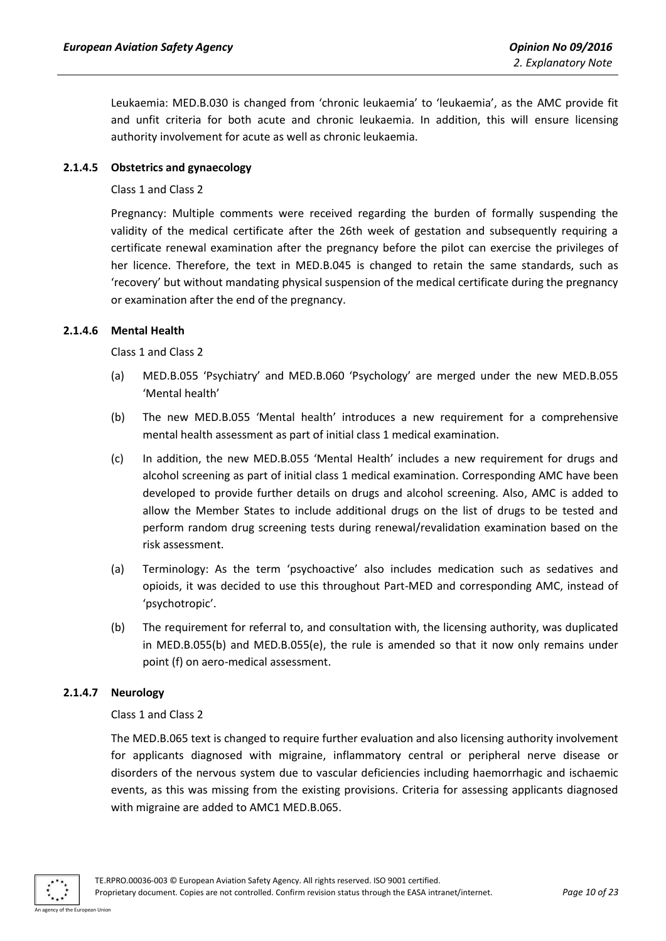Leukaemia: MED.B.030 is changed from 'chronic leukaemia' to 'leukaemia', as the AMC provide fit and unfit criteria for both acute and chronic leukaemia. In addition, this will ensure licensing authority involvement for acute as well as chronic leukaemia.

#### **2.1.4.5 Obstetrics and gynaecology**

#### Class 1 and Class 2

Pregnancy: Multiple comments were received regarding the burden of formally suspending the validity of the medical certificate after the 26th week of gestation and subsequently requiring a certificate renewal examination after the pregnancy before the pilot can exercise the privileges of her licence. Therefore, the text in MED.B.045 is changed to retain the same standards, such as 'recovery' but without mandating physical suspension of the medical certificate during the pregnancy or examination after the end of the pregnancy.

#### **2.1.4.6 Mental Health**

Class 1 and Class 2

- (a) MED.B.055 'Psychiatry' and MED.B.060 'Psychology' are merged under the new MED.B.055 'Mental health'
- (b) The new MED.B.055 'Mental health' introduces a new requirement for a comprehensive mental health assessment as part of initial class 1 medical examination.
- (c) In addition, the new MED.B.055 'Mental Health' includes a new requirement for drugs and alcohol screening as part of initial class 1 medical examination. Corresponding AMC have been developed to provide further details on drugs and alcohol screening. Also, AMC is added to allow the Member States to include additional drugs on the list of drugs to be tested and perform random drug screening tests during renewal/revalidation examination based on the risk assessment.
- (a) Terminology: As the term 'psychoactive' also includes medication such as sedatives and opioids, it was decided to use this throughout Part-MED and corresponding AMC, instead of 'psychotropic'.
- (b) The requirement for referral to, and consultation with, the licensing authority, was duplicated in MED.B.055(b) and MED.B.055(e), the rule is amended so that it now only remains under point (f) on aero-medical assessment.

#### **2.1.4.7 Neurology**

#### Class 1 and Class 2

The MED.B.065 text is changed to require further evaluation and also licensing authority involvement for applicants diagnosed with migraine, inflammatory central or peripheral nerve disease or disorders of the nervous system due to vascular deficiencies including haemorrhagic and ischaemic events, as this was missing from the existing provisions. Criteria for assessing applicants diagnosed with migraine are added to AMC1 MED.B.065.



TE.RPRO.00036-003 © European Aviation Safety Agency. All rights reserved. ISO 9001 certified. Proprietary document. Copies are not controlled. Confirm revision status through the EASA intranet/internet. *Page 10 of 23*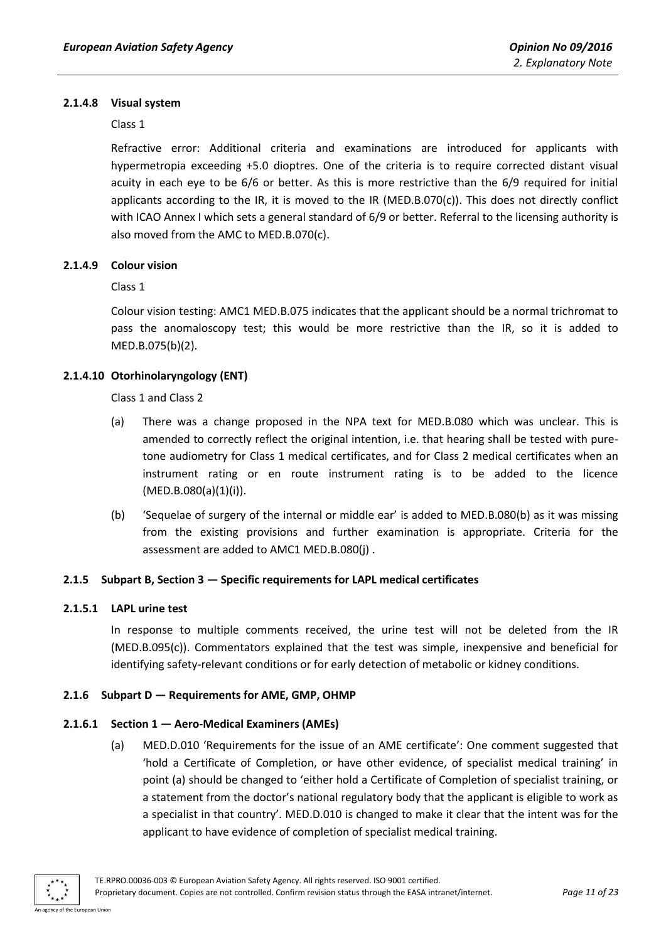#### **2.1.4.8 Visual system**

#### Class 1

Refractive error: Additional criteria and examinations are introduced for applicants with hypermetropia exceeding +5.0 dioptres. One of the criteria is to require corrected distant visual acuity in each eye to be 6/6 or better. As this is more restrictive than the 6/9 required for initial applicants according to the IR, it is moved to the IR (MED.B.070(c)). This does not directly conflict with ICAO Annex I which sets a general standard of 6/9 or better. Referral to the licensing authority is also moved from the AMC to MED.B.070(c).

#### **2.1.4.9 Colour vision**

Class 1

Colour vision testing: AMC1 MED.B.075 indicates that the applicant should be a normal trichromat to pass the anomaloscopy test; this would be more restrictive than the IR, so it is added to MED.B.075(b)(2).

#### **2.1.4.10 Otorhinolaryngology (ENT)**

Class 1 and Class 2

- (a) There was a change proposed in the NPA text for MED.B.080 which was unclear. This is amended to correctly reflect the original intention, i.e. that hearing shall be tested with puretone audiometry for Class 1 medical certificates, and for Class 2 medical certificates when an instrument rating or en route instrument rating is to be added to the licence  $(MED.B.080(a)(1)(i)).$
- (b) 'Sequelae of surgery of the internal or middle ear' is added to MED.B.080(b) as it was missing from the existing provisions and further examination is appropriate. Criteria for the assessment are added to AMC1 MED.B.080(j) .

#### <span id="page-10-0"></span>**2.1.5 Subpart B, Section 3 — Specific requirements for LAPL medical certificates**

#### **2.1.5.1 LAPL urine test**

In response to multiple comments received, the urine test will not be deleted from the IR (MED.B.095(c)). Commentators explained that the test was simple, inexpensive and beneficial for identifying safety-relevant conditions or for early detection of metabolic or kidney conditions.

#### <span id="page-10-1"></span>**2.1.6 Subpart D — Requirements for AME, GMP, OHMP**

#### **2.1.6.1 Section 1 — Aero-Medical Examiners (AMEs)**

(a) MED.D.010 'Requirements for the issue of an AME certificate': One comment suggested that 'hold a Certificate of Completion, or have other evidence, of specialist medical training' in point (a) should be changed to 'either hold a Certificate of Completion of specialist training, or a statement from the doctor's national regulatory body that the applicant is eligible to work as a specialist in that country'. MED.D.010 is changed to make it clear that the intent was for the applicant to have evidence of completion of specialist medical training.

of the European Union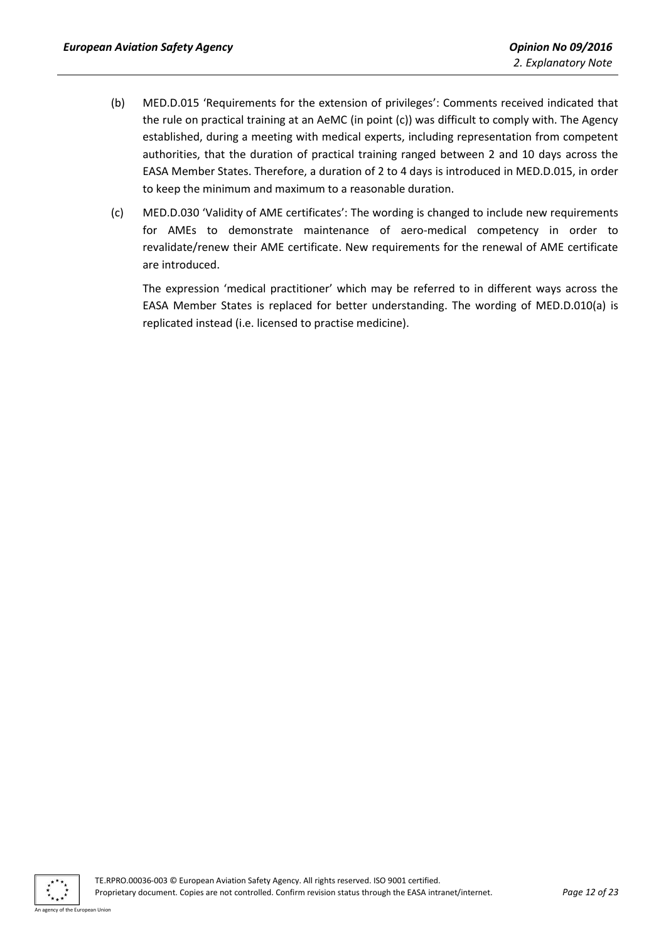- (b) MED.D.015 'Requirements for the extension of privileges': Comments received indicated that the rule on practical training at an AeMC (in point (c)) was difficult to comply with. The Agency established, during a meeting with medical experts, including representation from competent authorities, that the duration of practical training ranged between 2 and 10 days across the EASA Member States. Therefore, a duration of 2 to 4 days is introduced in MED.D.015, in order to keep the minimum and maximum to a reasonable duration.
- (c) MED.D.030 'Validity of AME certificates': The wording is changed to include new requirements for AMEs to demonstrate maintenance of aero-medical competency in order to revalidate/renew their AME certificate. New requirements for the renewal of AME certificate are introduced.

The expression 'medical practitioner' which may be referred to in different ways across the EASA Member States is replaced for better understanding. The wording of MED.D.010(a) is replicated instead (i.e. licensed to practise medicine).

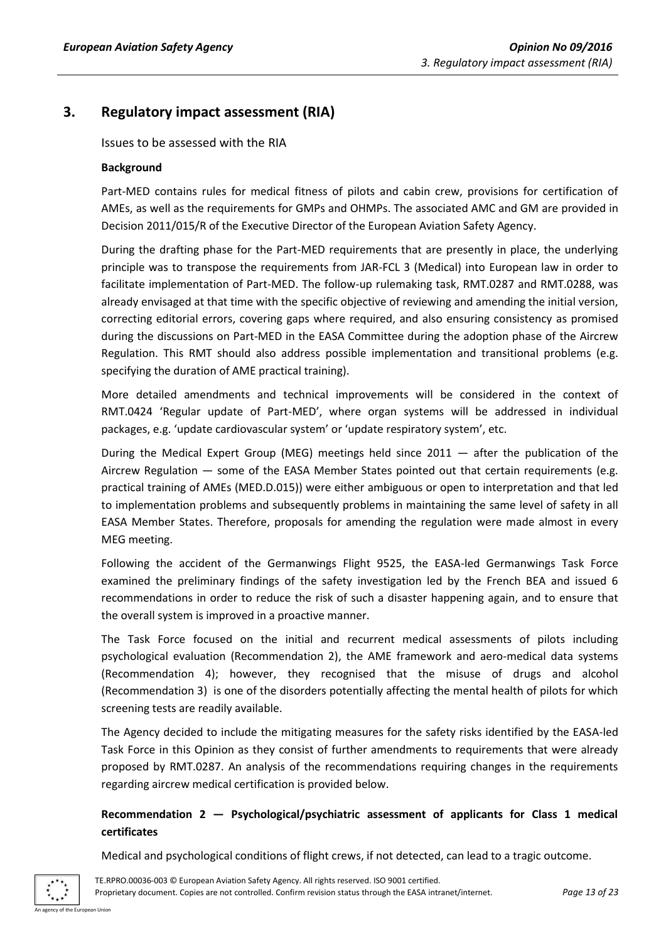## <span id="page-12-1"></span><span id="page-12-0"></span>**3. Regulatory impact assessment (RIA)**

Issues to be assessed with the RIA

#### **Background**

Part-MED contains rules for medical fitness of pilots and cabin crew, provisions for certification of AMEs, as well as the requirements for GMPs and OHMPs. The associated AMC and GM are provided in Decision 2011/015/R of the Executive Director of the European Aviation Safety Agency.

During the drafting phase for the Part-MED requirements that are presently in place, the underlying principle was to transpose the requirements from JAR-FCL 3 (Medical) into European law in order to facilitate implementation of Part-MED. The follow-up rulemaking task, RMT.0287 and RMT.0288, was already envisaged at that time with the specific objective of reviewing and amending the initial version, correcting editorial errors, covering gaps where required, and also ensuring consistency as promised during the discussions on Part-MED in the EASA Committee during the adoption phase of the Aircrew Regulation. This RMT should also address possible implementation and transitional problems (e.g. specifying the duration of AME practical training).

More detailed amendments and technical improvements will be considered in the context of RMT.0424 'Regular update of Part-MED', where organ systems will be addressed in individual packages, e.g. 'update cardiovascular system' or 'update respiratory system', etc.

During the Medical Expert Group (MEG) meetings held since 2011 — after the publication of the Aircrew Regulation — some of the EASA Member States pointed out that certain requirements (e.g. practical training of AMEs (MED.D.015)) were either ambiguous or open to interpretation and that led to implementation problems and subsequently problems in maintaining the same level of safety in all EASA Member States. Therefore, proposals for amending the regulation were made almost in every MEG meeting.

Following the accident of the Germanwings Flight 9525, the EASA-led Germanwings Task Force examined the preliminary findings of the safety investigation led by the French BEA and issued 6 recommendations in order to reduce the risk of such a disaster happening again, and to ensure that the overall system is improved in a proactive manner.

The Task Force focused on the initial and recurrent medical assessments of pilots including psychological evaluation (Recommendation 2), the AME framework and aero-medical data systems (Recommendation 4); however, they recognised that the misuse of drugs and alcohol (Recommendation 3) is one of the disorders potentially affecting the mental health of pilots for which screening tests are readily available.

The Agency decided to include the mitigating measures for the safety risks identified by the EASA-led Task Force in this Opinion as they consist of further amendments to requirements that were already proposed by RMT.0287. An analysis of the recommendations requiring changes in the requirements regarding aircrew medical certification is provided below.

## **Recommendation 2 — Psychological/psychiatric assessment of applicants for Class 1 medical certificates**

Medical and psychological conditions of flight crews, if not detected, can lead to a tragic outcome.



TE.RPRO.00036-003 © European Aviation Safety Agency. All rights reserved. ISO 9001 certified. Proprietary document. Copies are not controlled. Confirm revision status through the EASA intranet/internet. *Page 13 of 23*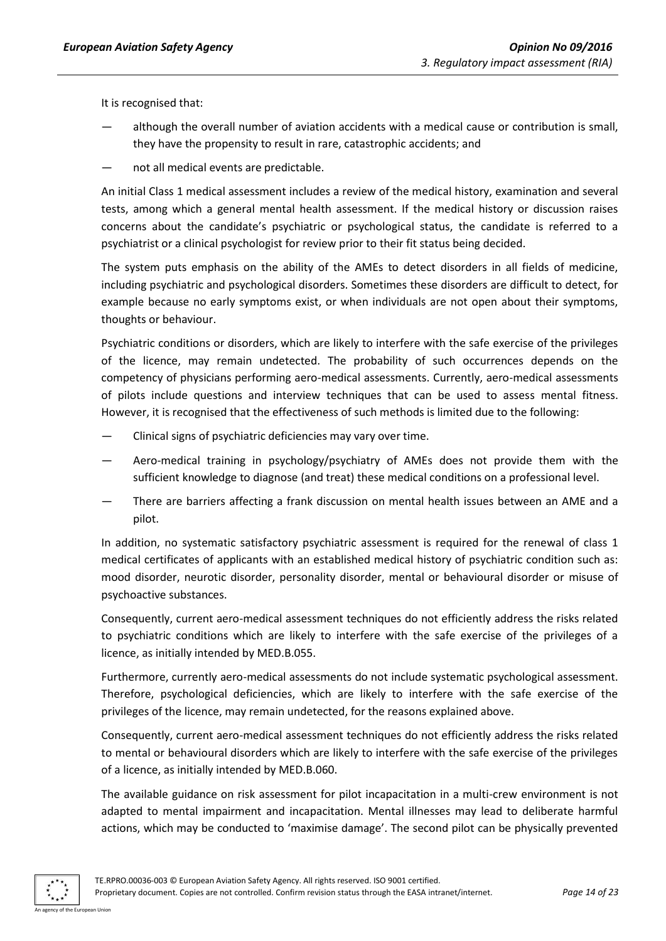It is recognised that:

- although the overall number of aviation accidents with a medical cause or contribution is small, they have the propensity to result in rare, catastrophic accidents; and
- not all medical events are predictable.

An initial Class 1 medical assessment includes a review of the medical history, examination and several tests, among which a general mental health assessment. If the medical history or discussion raises concerns about the candidate's psychiatric or psychological status, the candidate is referred to a psychiatrist or a clinical psychologist for review prior to their fit status being decided.

The system puts emphasis on the ability of the AMEs to detect disorders in all fields of medicine, including psychiatric and psychological disorders. Sometimes these disorders are difficult to detect, for example because no early symptoms exist, or when individuals are not open about their symptoms, thoughts or behaviour.

Psychiatric conditions or disorders, which are likely to interfere with the safe exercise of the privileges of the licence, may remain undetected. The probability of such occurrences depends on the competency of physicians performing aero-medical assessments. Currently, aero-medical assessments of pilots include questions and interview techniques that can be used to assess mental fitness. However, it is recognised that the effectiveness of such methods is limited due to the following:

- Clinical signs of psychiatric deficiencies may vary over time.
- Aero-medical training in psychology/psychiatry of AMEs does not provide them with the sufficient knowledge to diagnose (and treat) these medical conditions on a professional level.
- There are barriers affecting a frank discussion on mental health issues between an AME and a pilot.

In addition, no systematic satisfactory psychiatric assessment is required for the renewal of class 1 medical certificates of applicants with an established medical history of psychiatric condition such as: mood disorder, neurotic disorder, personality disorder, mental or behavioural disorder or misuse of psychoactive substances.

Consequently, current aero-medical assessment techniques do not efficiently address the risks related to psychiatric conditions which are likely to interfere with the safe exercise of the privileges of a licence, as initially intended by MED.B.055.

Furthermore, currently aero-medical assessments do not include systematic psychological assessment. Therefore, psychological deficiencies, which are likely to interfere with the safe exercise of the privileges of the licence, may remain undetected, for the reasons explained above.

Consequently, current aero-medical assessment techniques do not efficiently address the risks related to mental or behavioural disorders which are likely to interfere with the safe exercise of the privileges of a licence, as initially intended by MED.B.060.

The available guidance on risk assessment for pilot incapacitation in a multi-crew environment is not adapted to mental impairment and incapacitation. Mental illnesses may lead to deliberate harmful actions, which may be conducted to 'maximise damage'. The second pilot can be physically prevented

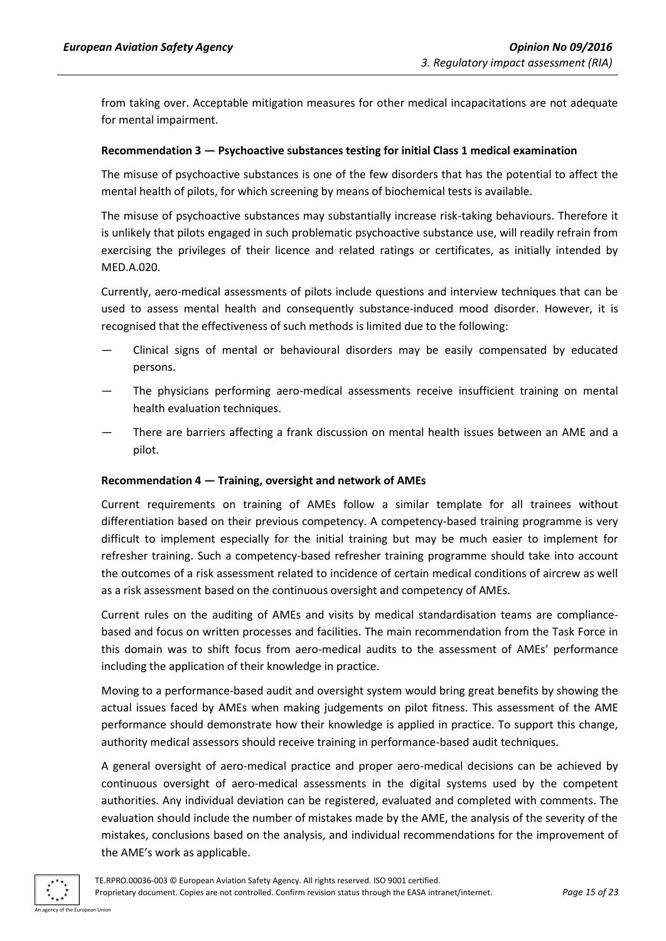from taking over. Acceptable mitigation measures for other medical incapacitations are not adequate for mental impairment.

#### **Recommendation 3 — Psychoactive substances testing for initial Class 1 medical examination**

The misuse of psychoactive substances is one of the few disorders that has the potential to affect the mental health of pilots, for which screening by means of biochemical tests is available.

The misuse of psychoactive substances may substantially increase risk-taking behaviours. Therefore it is unlikely that pilots engaged in such problematic psychoactive substance use, will readily refrain from exercising the privileges of their licence and related ratings or certificates, as initially intended by MED.A.020.

Currently, aero-medical assessments of pilots include questions and interview techniques that can be used to assess mental health and consequently substance-induced mood disorder. However, it is recognised that the effectiveness of such methods is limited due to the following:

- Clinical signs of mental or behavioural disorders may be easily compensated by educated persons.
- The physicians performing aero-medical assessments receive insufficient training on mental health evaluation techniques.
- There are barriers affecting a frank discussion on mental health issues between an AME and a pilot.

#### **Recommendation 4 — Training, oversight and network of AMEs**

Current requirements on training of AMEs follow a similar template for all trainees without differentiation based on their previous competency. A competency-based training programme is very difficult to implement especially for the initial training but may be much easier to implement for refresher training. Such a competency-based refresher training programme should take into account the outcomes of a risk assessment related to incidence of certain medical conditions of aircrew as well as a risk assessment based on the continuous oversight and competency of AMEs.

Current rules on the auditing of AMEs and visits by medical standardisation teams are compliancebased and focus on written processes and facilities. The main recommendation from the Task Force in this domain was to shift focus from aero-medical audits to the assessment of AMEs' performance including the application of their knowledge in practice.

Moving to a performance-based audit and oversight system would bring great benefits by showing the actual issues faced by AMEs when making judgements on pilot fitness. This assessment of the AME performance should demonstrate how their knowledge is applied in practice. To support this change, authority medical assessors should receive training in performance-based audit techniques.

A general oversight of aero-medical practice and proper aero-medical decisions can be achieved by continuous oversight of aero-medical assessments in the digital systems used by the competent authorities. Any individual deviation can be registered, evaluated and completed with comments. The evaluation should include the number of mistakes made by the AME, the analysis of the severity of the mistakes, conclusions based on the analysis, and individual recommendations for the improvement of the AME's work as applicable.

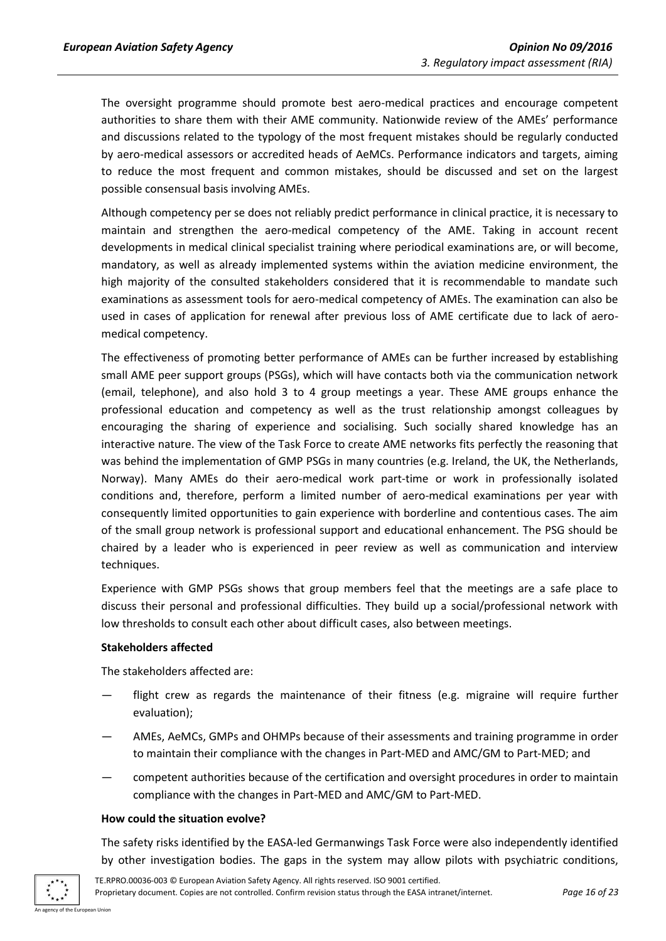The oversight programme should promote best aero-medical practices and encourage competent authorities to share them with their AME community. Nationwide review of the AMEs' performance and discussions related to the typology of the most frequent mistakes should be regularly conducted by aero-medical assessors or accredited heads of AeMCs. Performance indicators and targets, aiming to reduce the most frequent and common mistakes, should be discussed and set on the largest possible consensual basis involving AMEs.

Although competency per se does not reliably predict performance in clinical practice, it is necessary to maintain and strengthen the aero-medical competency of the AME. Taking in account recent developments in medical clinical specialist training where periodical examinations are, or will become, mandatory, as well as already implemented systems within the aviation medicine environment, the high majority of the consulted stakeholders considered that it is recommendable to mandate such examinations as assessment tools for aero-medical competency of AMEs. The examination can also be used in cases of application for renewal after previous loss of AME certificate due to lack of aeromedical competency.

The effectiveness of promoting better performance of AMEs can be further increased by establishing small AME peer support groups (PSGs), which will have contacts both via the communication network (email, telephone), and also hold 3 to 4 group meetings a year. These AME groups enhance the professional education and competency as well as the trust relationship amongst colleagues by encouraging the sharing of experience and socialising. Such socially shared knowledge has an interactive nature. The view of the Task Force to create AME networks fits perfectly the reasoning that was behind the implementation of GMP PSGs in many countries (e.g. Ireland, the UK, the Netherlands, Norway). Many AMEs do their aero-medical work part-time or work in professionally isolated conditions and, therefore, perform a limited number of aero-medical examinations per year with consequently limited opportunities to gain experience with borderline and contentious cases. The aim of the small group network is professional support and educational enhancement. The PSG should be chaired by a leader who is experienced in peer review as well as communication and interview techniques.

Experience with GMP PSGs shows that group members feel that the meetings are a safe place to discuss their personal and professional difficulties. They build up a social/professional network with low thresholds to consult each other about difficult cases, also between meetings.

#### **Stakeholders affected**

The stakeholders affected are:

- flight crew as regards the maintenance of their fitness (e.g. migraine will require further evaluation);
- AMEs, AeMCs, GMPs and OHMPs because of their assessments and training programme in order to maintain their compliance with the changes in Part-MED and AMC/GM to Part-MED; and
- competent authorities because of the certification and oversight procedures in order to maintain compliance with the changes in Part-MED and AMC/GM to Part-MED.

#### **How could the situation evolve?**

The safety risks identified by the EASA-led Germanwings Task Force were also independently identified by other investigation bodies. The gaps in the system may allow pilots with psychiatric conditions,

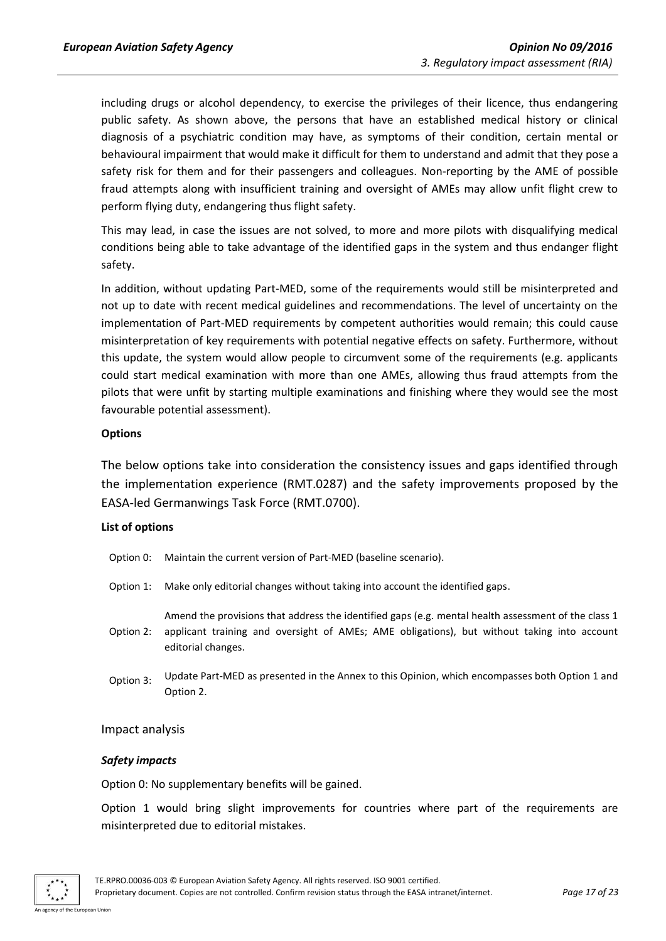including drugs or alcohol dependency, to exercise the privileges of their licence, thus endangering public safety. As shown above, the persons that have an established medical history or clinical diagnosis of a psychiatric condition may have, as symptoms of their condition, certain mental or behavioural impairment that would make it difficult for them to understand and admit that they pose a safety risk for them and for their passengers and colleagues. Non-reporting by the AME of possible fraud attempts along with insufficient training and oversight of AMEs may allow unfit flight crew to perform flying duty, endangering thus flight safety.

This may lead, in case the issues are not solved, to more and more pilots with disqualifying medical conditions being able to take advantage of the identified gaps in the system and thus endanger flight safety.

In addition, without updating Part-MED, some of the requirements would still be misinterpreted and not up to date with recent medical guidelines and recommendations. The level of uncertainty on the implementation of Part-MED requirements by competent authorities would remain; this could cause misinterpretation of key requirements with potential negative effects on safety. Furthermore, without this update, the system would allow people to circumvent some of the requirements (e.g. applicants could start medical examination with more than one AMEs, allowing thus fraud attempts from the pilots that were unfit by starting multiple examinations and finishing where they would see the most favourable potential assessment).

#### **Options**

<span id="page-16-0"></span>The below options take into consideration the consistency issues and gaps identified through the implementation experience (RMT.0287) and the safety improvements proposed by the EASA-led Germanwings Task Force (RMT.0700).

#### **List of options**

- Option 0: Maintain the current version of Part-MED (baseline scenario).
- Option 1: Make only editorial changes without taking into account the identified gaps.

Option 2: Amend the provisions that address the identified gaps (e.g. mental health assessment of the class 1 applicant training and oversight of AMEs; AME obligations), but without taking into account editorial changes.

Option 3: Update Part-MED as presented in the Annex to this Opinion, which encompasses both Option 1 and Option 2.

#### <span id="page-16-1"></span>Impact analysis

#### *Safety impacts*

Option 0: No supplementary benefits will be gained.

Option 1 would bring slight improvements for countries where part of the requirements are misinterpreted due to editorial mistakes.

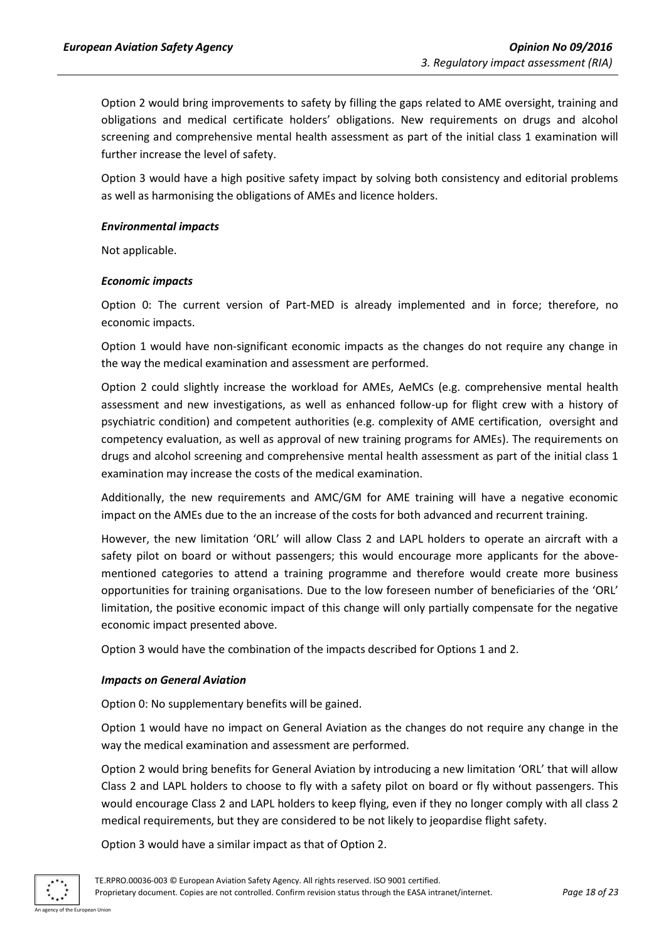Option 2 would bring improvements to safety by filling the gaps related to AME oversight, training and obligations and medical certificate holders' obligations. New requirements on drugs and alcohol screening and comprehensive mental health assessment as part of the initial class 1 examination will further increase the level of safety.

Option 3 would have a high positive safety impact by solving both consistency and editorial problems as well as harmonising the obligations of AMEs and licence holders.

#### *Environmental impacts*

Not applicable.

#### *Economic impacts*

Option 0: The current version of Part-MED is already implemented and in force; therefore, no economic impacts.

Option 1 would have non-significant economic impacts as the changes do not require any change in the way the medical examination and assessment are performed.

Option 2 could slightly increase the workload for AMEs, AeMCs (e.g. comprehensive mental health assessment and new investigations, as well as enhanced follow-up for flight crew with a history of psychiatric condition) and competent authorities (e.g. complexity of AME certification, oversight and competency evaluation, as well as approval of new training programs for AMEs). The requirements on drugs and alcohol screening and comprehensive mental health assessment as part of the initial class 1 examination may increase the costs of the medical examination.

Additionally, the new requirements and AMC/GM for AME training will have a negative economic impact on the AMEs due to the an increase of the costs for both advanced and recurrent training.

However, the new limitation 'ORL' will allow Class 2 and LAPL holders to operate an aircraft with a safety pilot on board or without passengers; this would encourage more applicants for the abovementioned categories to attend a training programme and therefore would create more business opportunities for training organisations. Due to the low foreseen number of beneficiaries of the 'ORL' limitation, the positive economic impact of this change will only partially compensate for the negative economic impact presented above.

Option 3 would have the combination of the impacts described for Options 1 and 2.

#### *Impacts on General Aviation*

Option 0: No supplementary benefits will be gained.

Option 1 would have no impact on General Aviation as the changes do not require any change in the way the medical examination and assessment are performed.

Option 2 would bring benefits for General Aviation by introducing a new limitation 'ORL' that will allow Class 2 and LAPL holders to choose to fly with a safety pilot on board or fly without passengers. This would encourage Class 2 and LAPL holders to keep flying, even if they no longer comply with all class 2 medical requirements, but they are considered to be not likely to jeopardise flight safety.

Option 3 would have a similar impact as that of Option 2.

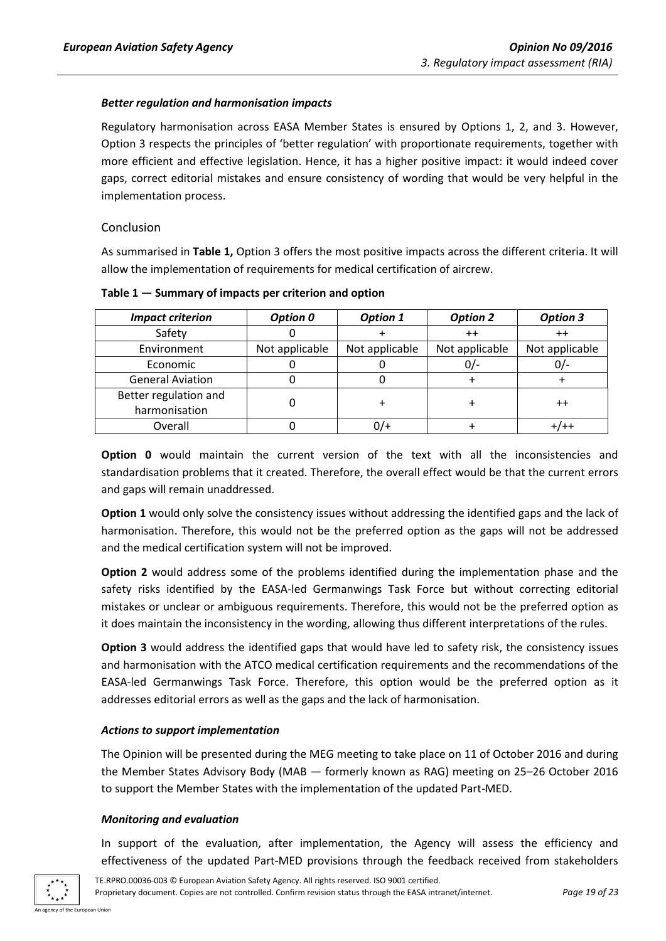#### *Better regulation and harmonisation impacts*

Regulatory harmonisation across EASA Member States is ensured by Options 1, 2, and 3. However, Option 3 respects the principles of 'better regulation' with proportionate requirements, together with more efficient and effective legislation. Hence, it has a higher positive impact: it would indeed cover gaps, correct editorial mistakes and ensure consistency of wording that would be very helpful in the implementation process.

#### <span id="page-18-0"></span>Conclusion

As summarised in **Table 1,** Option 3 offers the most positive impacts across the different criteria. It will allow the implementation of requirements for medical certification of aircrew.

| <b>Impact criterion</b> | Option 0       | <b>Option 1</b> | <b>Option 2</b> | <b>Option 3</b> |
|-------------------------|----------------|-----------------|-----------------|-----------------|
| Safety                  |                |                 | $++$            | $^{\mathrm{+}}$ |
| Environment             | Not applicable | Not applicable  | Not applicable  | Not applicable  |
| Economic                |                |                 | U/-             | 07.             |
| <b>General Aviation</b> |                |                 |                 |                 |
| Better regulation and   |                |                 |                 | $^{\mathrm{+}}$ |
| harmonisation           |                |                 |                 |                 |
| Overall                 |                |                 |                 |                 |

**Table 1 — Summary of impacts per criterion and option**

**Option 0** would maintain the current version of the text with all the inconsistencies and standardisation problems that it created. Therefore, the overall effect would be that the current errors and gaps will remain unaddressed.

**Option 1** would only solve the consistency issues without addressing the identified gaps and the lack of harmonisation. Therefore, this would not be the preferred option as the gaps will not be addressed and the medical certification system will not be improved.

**Option 2** would address some of the problems identified during the implementation phase and the safety risks identified by the EASA-led Germanwings Task Force but without correcting editorial mistakes or unclear or ambiguous requirements. Therefore, this would not be the preferred option as it does maintain the inconsistency in the wording, allowing thus different interpretations of the rules.

**Option 3** would address the identified gaps that would have led to safety risk, the consistency issues and harmonisation with the ATCO medical certification requirements and the recommendations of the EASA-led Germanwings Task Force. Therefore, this option would be the preferred option as it addresses editorial errors as well as the gaps and the lack of harmonisation.

#### *Actions to support implementation*

The Opinion will be presented during the MEG meeting to take place on 11 of October 2016 and during the Member States Advisory Body (MAB — formerly known as RAG) meeting on 25–26 October 2016 to support the Member States with the implementation of the updated Part-MED.

#### *Monitoring and evaluation*

In support of the evaluation, after implementation, the Agency will assess the efficiency and effectiveness of the updated Part-MED provisions through the feedback received from stakeholders

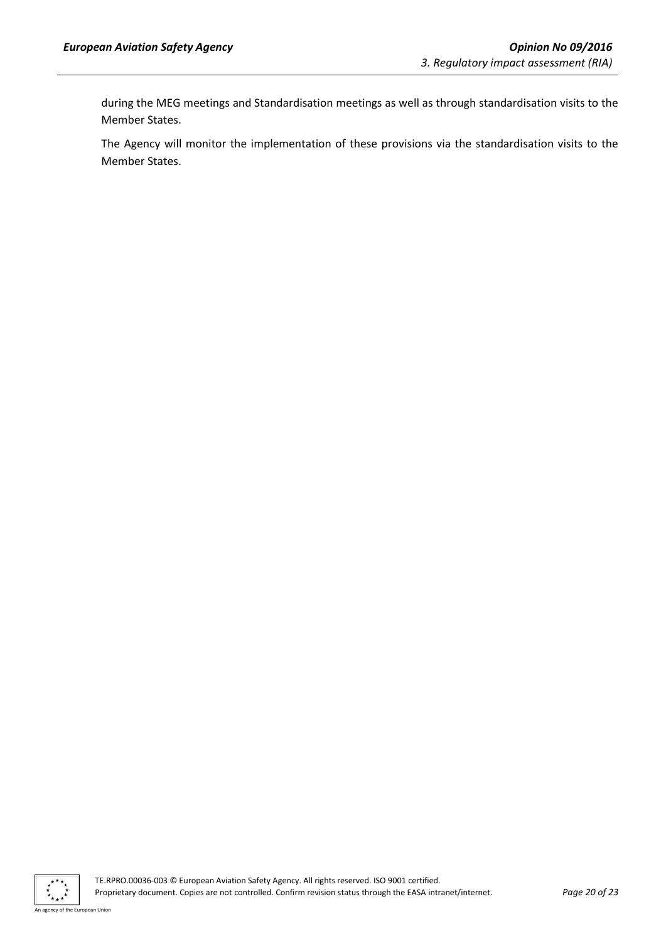during the MEG meetings and Standardisation meetings as well as through standardisation visits to the Member States.

The Agency will monitor the implementation of these provisions via the standardisation visits to the Member States.



TE.RPRO.00036-003 © European Aviation Safety Agency. All rights reserved. ISO 9001 certified. Proprietary document. Copies are not controlled. Confirm revision status through the EASA intranet/internet. *Page 20 of 23*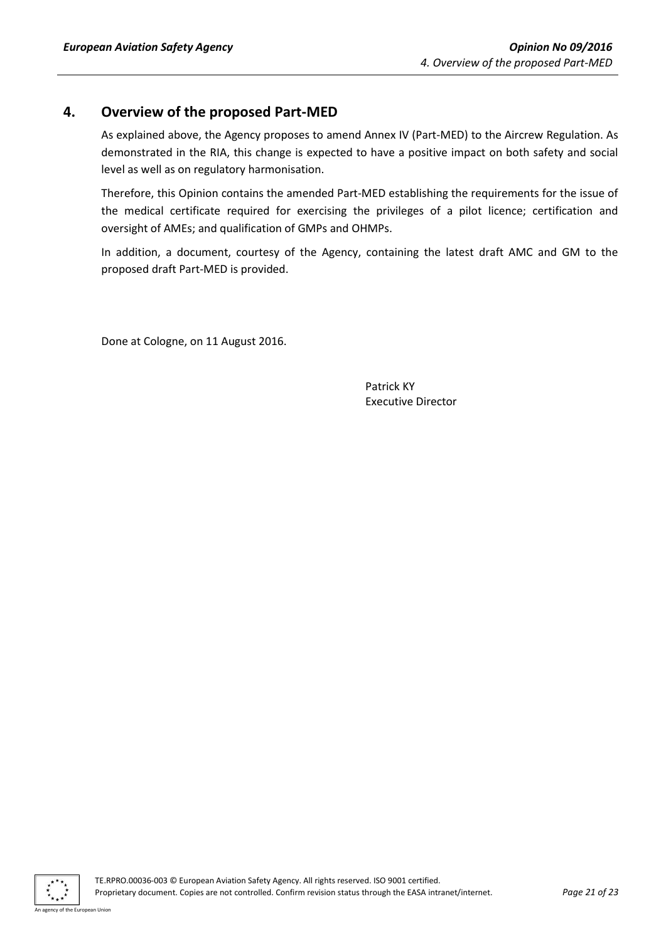## <span id="page-20-0"></span>**4. Overview of the proposed Part-MED**

As explained above, the Agency proposes to amend Annex IV (Part-MED) to the Aircrew Regulation. As demonstrated in the RIA, this change is expected to have a positive impact on both safety and social level as well as on regulatory harmonisation.

Therefore, this Opinion contains the amended Part-MED establishing the requirements for the issue of the medical certificate required for exercising the privileges of a pilot licence; certification and oversight of AMEs; and qualification of GMPs and OHMPs.

In addition, a document, courtesy of the Agency, containing the latest draft AMC and GM to the proposed draft Part-MED is provided.

Done at Cologne, on 11 August 2016.

Patrick KY Executive Director

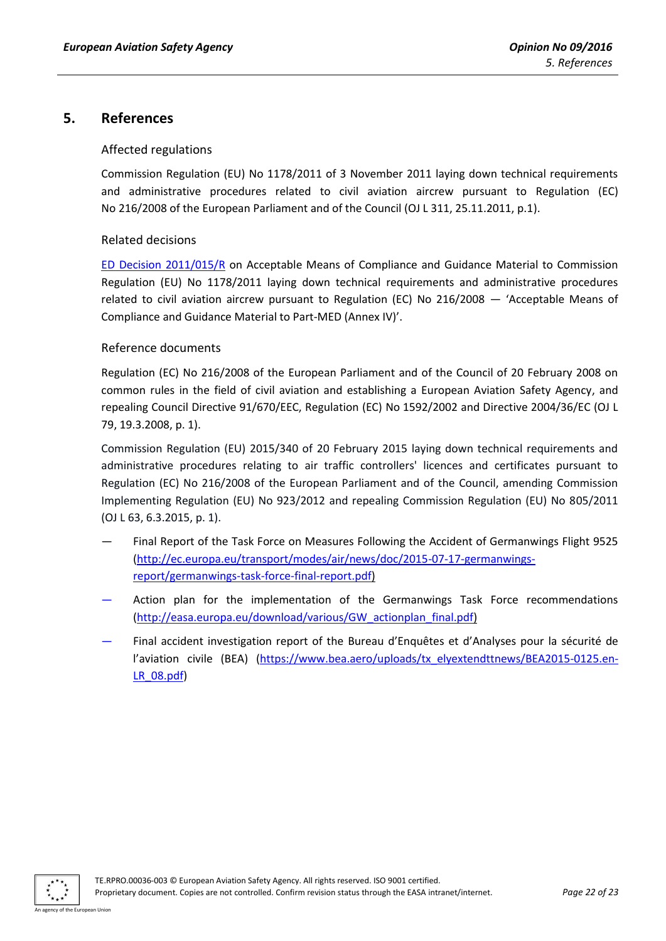## <span id="page-21-1"></span><span id="page-21-0"></span>**5. References**

#### Affected regulations

Commission Regulation (EU) No 1178/2011 of 3 November 2011 laying down technical requirements and administrative procedures related to civil aviation aircrew pursuant to Regulation (EC) No 216/2008 of the European Parliament and of the Council (OJ L 311, 25.11.2011, p.1).

#### <span id="page-21-2"></span>Related decisions

[ED Decision 2011/015/R](http://easa.europa.eu/document-library/agency-decisions/ed-decision-2011015r) on Acceptable Means of Compliance and Guidance Material to Commission Regulation (EU) No 1178/2011 laying down technical requirements and administrative procedures related to civil aviation aircrew pursuant to Regulation (EC) No 216/2008 — 'Acceptable Means of Compliance and Guidance Material to Part-MED (Annex IV)'.

#### <span id="page-21-3"></span>Reference documents

Regulation (EC) No 216/2008 of the European Parliament and of the Council of 20 February 2008 on common rules in the field of civil aviation and establishing a European Aviation Safety Agency, and repealing Council Directive 91/670/EEC, Regulation (EC) No 1592/2002 and Directive 2004/36/EC (OJ L 79, 19.3.2008, p. 1).

Commission Regulation (EU) 2015/340 of 20 February 2015 laying down technical requirements and administrative procedures relating to air traffic controllers' licences and certificates pursuant to Regulation (EC) No 216/2008 of the European Parliament and of the Council, amending Commission Implementing Regulation (EU) No 923/2012 and repealing Commission Regulation (EU) No 805/2011 (OJ L 63, 6.3.2015, p. 1).

- Final Report of the Task Force on Measures Following the Accident of Germanwings Flight 9525 [\(http://ec.europa.eu/transport/modes/air/news/doc/2015-07-17-germanwings](http://ec.europa.eu/transport/modes/air/news/doc/2015-07-17-germanwings-report/germanwings-task-force-final-report.pdf)[report/germanwings-task-force-final-report.pdf\)](http://ec.europa.eu/transport/modes/air/news/doc/2015-07-17-germanwings-report/germanwings-task-force-final-report.pdf)
- Action plan for the implementation of the Germanwings Task Force recommendations [\(http://easa.europa.eu/download/various/GW\\_actionplan\\_final.pdf\)](http://easa.europa.eu/download/various/GW_actionplan_final.pdf)
- Final accident investigation report of the Bureau d'Enquêtes et d'Analyses pour la sécurité de l'aviation civile (BEA) [\(https://www.bea.aero/uploads/tx\\_elyextendttnews/BEA2015-0125.en-](https://www.bea.aero/uploads/tx_elyextendttnews/BEA2015-0125.en-LR_08.pdf)[LR\\_08.pdf\)](https://www.bea.aero/uploads/tx_elyextendttnews/BEA2015-0125.en-LR_08.pdf)